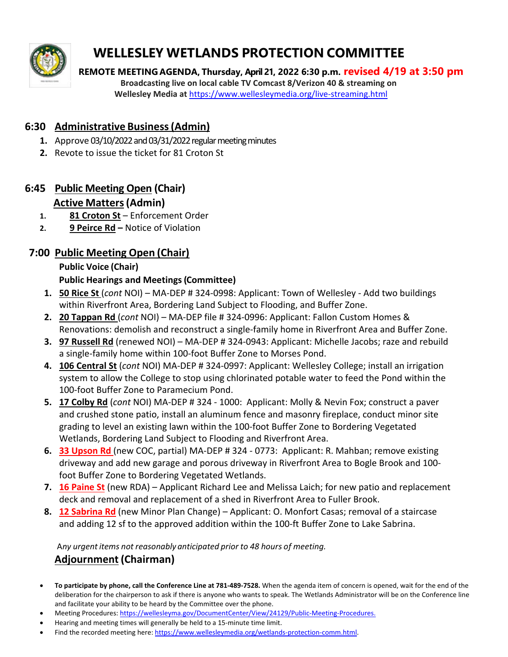

# **WELLESLEY WETLANDS PROTECTION COMMITTEE**

 **REMOTE MEETING AGENDA, Thursday, April 21, 2022 6:30 p.m. revised 4/19 at 3:50 pm Broadcasting live on local cable TV Comcast 8/Verizon 40 & streaming on Wellesley Media at** <https://www.wellesleymedia.org/live-streaming.html>

### **6:30 Administrative Business(Admin)**

- **1.** Approve 03/10/2022 and 03/31/2022 regular meeting minutes
- **2.** Revote to issue the ticket for 81 Croton St

## **6:45 Public Meeting Open (Chair)**

#### **Active Matters(Admin)**

- **1. 81 Croton St** Enforcement Order
- **2. 9 Peirce Rd –** Notice of Violation

## **7:00 Public Meeting Open (Chair)**

#### **Public Voice (Chair)**

#### **Public Hearings and Meetings(Committee)**

- **1. 50 Rice St** (*cont* NOI) MA-DEP # 324-0998: Applicant: Town of Wellesley Add two buildings within Riverfront Area, Bordering Land Subject to Flooding, and Buffer Zone.
- **2. 20 Tappan Rd** (*cont* NOI) MA-DEP file # 324-0996: Applicant: Fallon Custom Homes & Renovations: demolish and reconstruct a single-family home in Riverfront Area and Buffer Zone.
- **3. 97 Russell Rd** (renewed NOI) MA-DEP # 324-0943: Applicant: Michelle Jacobs; raze and rebuild a single-family home within 100-foot Buffer Zone to Morses Pond.
- **4. 106 Central St** (*cont* NOI) MA-DEP # 324-0997: Applicant: Wellesley College; install an irrigation system to allow the College to stop using chlorinated potable water to feed the Pond within the 100-foot Buffer Zone to Paramecium Pond.
- **5. 17 Colby Rd** (*cont* NOI) MA-DEP # 324 1000: Applicant: Molly & Nevin Fox; construct a paver and crushed stone patio, install an aluminum fence and masonry fireplace, conduct minor site grading to level an existing lawn within the 100-foot Buffer Zone to Bordering Vegetated Wetlands, Bordering Land Subject to Flooding and Riverfront Area.
- **6. 33 Upson Rd** (new COC, partial) MA-DEP # 324 0773: Applicant: R. Mahban; remove existing driveway and add new garage and porous driveway in Riverfront Area to Bogle Brook and 100 foot Buffer Zone to Bordering Vegetated Wetlands.
- **7. 16 Paine St** (new RDA) Applicant Richard Lee and Melissa Laich; for new patio and replacement deck and removal and replacement of a shed in Riverfront Area to Fuller Brook.
- **8. 12 Sabrina Rd** (new Minor Plan Change) Applicant: O. Monfort Casas; removal of a staircase and adding 12 sf to the approved addition within the 100-ft Buffer Zone to Lake Sabrina.

A*ny urgentitems not reasonably anticipated prior to 48 hours of meeting.*

## **Adjournment (Chairman)**

- **To participate by phone, call the Conference Line at 781‐489‐7528.** When the agenda item of concern is opened, wait for the end of the deliberation for the chairperson to ask if there is anyone who wants to speak. The Wetlands Administrator will be on the Conference line and facilitate your ability to be heard by the Committee over the phone.
- Meeting Procedures: <https://wellesleyma.gov/DocumentCenter/View/24129/Public-Meeting-Procedures.>
- Hearing and meeting times will generally be held to a 15-minute time limit.
- Find the recorded meeting here: https://www.wellesleymedia.org/wetlands-protection-comm.html.